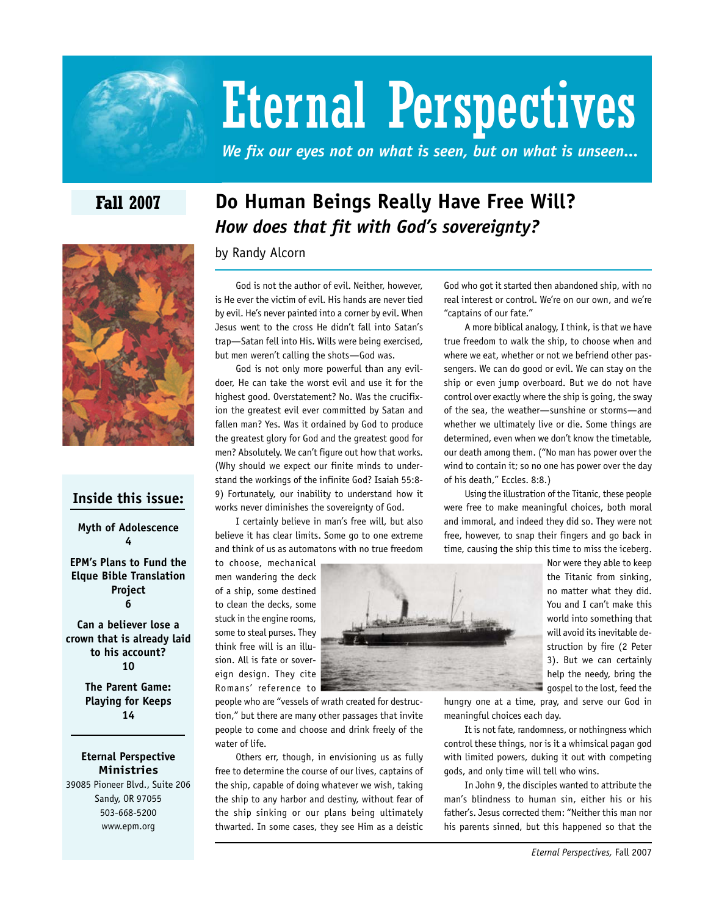

# Eternal Perspectives

*We fix our eyes not on what is seen, but on what is unseen...*

**Fall 2007**

# **Do Human Beings Really Have Free Will?** *How does that fit with God's sovereignty?*

#### by Randy Alcorn

God is not the author of evil. Neither, however, is He ever the victim of evil. His hands are never tied by evil. He's never painted into a corner by evil. When Jesus went to the cross He didn't fall into Satan's trap—Satan fell into His. Wills were being exercised, but men weren't calling the shots—God was.

God is not only more powerful than any evildoer, He can take the worst evil and use it for the highest good. Overstatement? No. Was the crucifixion the greatest evil ever committed by Satan and fallen man? Yes. Was it ordained by God to produce the greatest glory for God and the greatest good for men? Absolutely. We can't figure out how that works. (Why should we expect our finite minds to understand the workings of the infinite God? Isaiah 55:8- 9) Fortunately, our inability to understand how it works never diminishes the sovereignty of God.

I certainly believe in man's free will, but also believe it has clear limits. Some go to one extreme and think of us as automatons with no true freedom

to choose, mechanical men wandering the deck of a ship, some destined to clean the decks, some stuck in the engine rooms, some to steal purses. They think free will is an illusion. All is fate or sovereign design. They cite Romans' reference to

people who are "vessels of wrath created for destruction," but there are many other passages that invite people to come and choose and drink freely of the water of life.

Others err, though, in envisioning us as fully free to determine the course of our lives, captains of the ship, capable of doing whatever we wish, taking the ship to any harbor and destiny, without fear of the ship sinking or our plans being ultimately thwarted. In some cases, they see Him as a deistic God who got it started then abandoned ship, with no real interest or control. We're on our own, and we're "captains of our fate."

A more biblical analogy, I think, is that we have true freedom to walk the ship, to choose when and where we eat, whether or not we befriend other passengers. We can do good or evil. We can stay on the ship or even jump overboard. But we do not have control over exactly where the ship is going, the sway of the sea, the weather—sunshine or storms—and whether we ultimately live or die. Some things are determined, even when we don't know the timetable, our death among them. ("No man has power over the wind to contain it; so no one has power over the day of his death," Eccles. 8:8.)

Using the illustration of the Titanic, these people were free to make meaningful choices, both moral and immoral, and indeed they did so. They were not free, however, to snap their fingers and go back in time, causing the ship this time to miss the iceberg.

> Nor were they able to keep the Titanic from sinking, no matter what they did. You and I can't make this world into something that will avoid its inevitable destruction by fire (2 Peter 3). But we can certainly help the needy, bring the gospel to the lost, feed the

hungry one at a time, pray, and serve our God in meaningful choices each day.

It is not fate, randomness, or nothingness which control these things, nor is it a whimsical pagan god with limited powers, duking it out with competing gods, and only time will tell who wins.

In John 9, the disciples wanted to attribute the man's blindness to human sin, either his or his father's. Jesus corrected them: "Neither this man nor his parents sinned, but this happened so that the

## **Inside this issue:**

**Myth of Adolescence 4**

**EPM's Plans to Fund the Elque Bible Translation Project 6**

**Can a believer lose a crown that is already laid to his account? 10**

> **The Parent Game: Playing for Keeps 14**

#### **Eternal Perspective Ministries**

39085 Pioneer Blvd., Suite 206 Sandy, OR 97055 503-668-5200 www.epm.org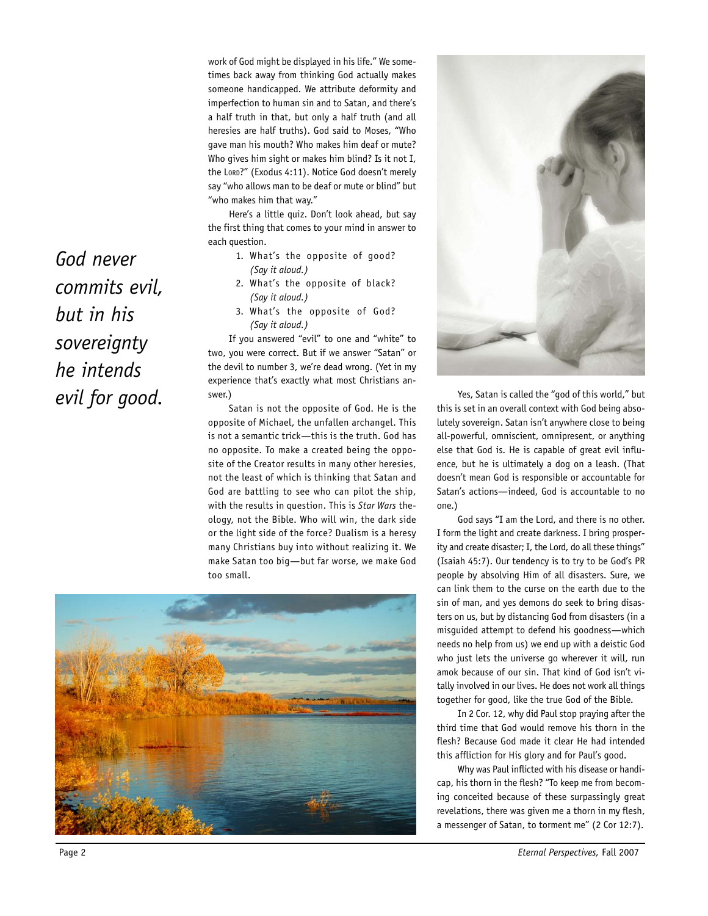work of God might be displayed in his life." We sometimes back away from thinking God actually makes someone handicapped. We attribute deformity and imperfection to human sin and to Satan, and there's a half truth in that, but only a half truth (and all heresies are half truths). God said to Moses, "Who gave man his mouth? Who makes him deaf or mute? Who gives him sight or makes him blind? Is it not I, the LORD?" (Exodus 4:11). Notice God doesn't merely say "who allows man to be deaf or mute or blind" but "who makes him that way."

Here's a little quiz. Don't look ahead, but say the first thing that comes to your mind in answer to each question.

- 1. What's the opposite of good? *(Say it aloud.)*
- 2. What's the opposite of black? *(Say it aloud.)*
- 3. What's the opposite of God? *(Say it aloud.)*

If you answered "evil" to one and "white" to two, you were correct. But if we answer "Satan" or the devil to number 3, we're dead wrong. (Yet in my experience that's exactly what most Christians answer.)

Satan is not the opposite of God. He is the opposite of Michael, the unfallen archangel. This is not a semantic trick—this is the truth. God has no opposite. To make a created being the opposite of the Creator results in many other heresies, not the least of which is thinking that Satan and God are battling to see who can pilot the ship, with the results in question. This is *Star Wars* theology, not the Bible. Who will win, the dark side or the light side of the force? Dualism is a heresy many Christians buy into without realizing it. We make Satan too big—but far worse, we make God too small.





Yes, Satan is called the "god of this world," but this is set in an overall context with God being absolutely sovereign. Satan isn't anywhere close to being all-powerful, omniscient, omnipresent, or anything else that God is. He is capable of great evil influence, but he is ultimately a dog on a leash. (That doesn't mean God is responsible or accountable for Satan's actions—indeed, God is accountable to no one.)

God says "I am the Lord, and there is no other. I form the light and create darkness. I bring prosperity and create disaster; I, the Lord, do all these things" (Isaiah 45:7). Our tendency is to try to be God's PR people by absolving Him of all disasters. Sure, we can link them to the curse on the earth due to the sin of man, and yes demons do seek to bring disasters on us, but by distancing God from disasters (in a misguided attempt to defend his goodness—which needs no help from us) we end up with a deistic God who just lets the universe go wherever it will, run amok because of our sin. That kind of God isn't vitally involved in our lives. He does not work all things together for good, like the true God of the Bible.

In 2 Cor. 12, why did Paul stop praying after the third time that God would remove his thorn in the flesh? Because God made it clear He had intended this affliction for His glory and for Paul's good.

Why was Paul inflicted with his disease or handicap, his thorn in the flesh? "To keep me from becoming conceited because of these surpassingly great revelations, there was given me a thorn in my flesh, a messenger of Satan, to torment me" (2 Cor 12:7).

# *God never commits evil, but in his sovereignty he intends evil for good.*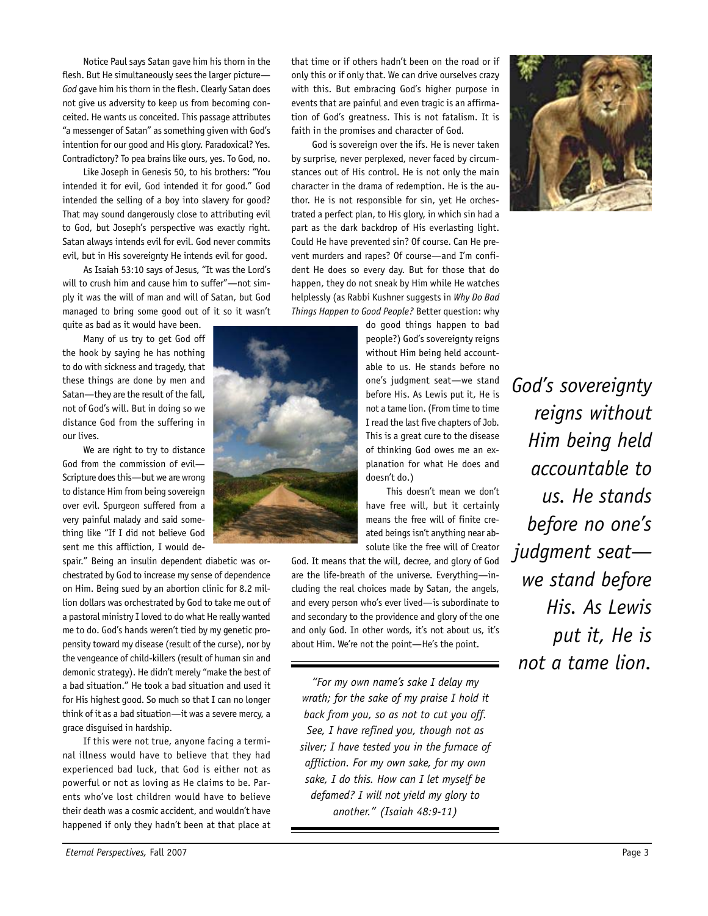Notice Paul says Satan gave him his thorn in the flesh. But He simultaneously sees the larger picture— *God* gave him his thorn in the flesh. Clearly Satan does not give us adversity to keep us from becoming conceited. He wants us conceited. This passage attributes "a messenger of Satan" as something given with God's intention for our good and His glory. Paradoxical? Yes. Contradictory? To pea brains like ours, yes. To God, no.

Like Joseph in Genesis 50, to his brothers: "You intended it for evil, God intended it for good." God intended the selling of a boy into slavery for good? That may sound dangerously close to attributing evil to God, but Joseph's perspective was exactly right. Satan always intends evil for evil. God never commits evil, but in His sovereignty He intends evil for good.

As Isaiah 53:10 says of Jesus, "It was the Lord's will to crush him and cause him to suffer"—not simply it was the will of man and will of Satan, but God managed to bring some good out of it so it wasn't

quite as bad as it would have been.

Many of us try to get God off the hook by saying he has nothing to do with sickness and tragedy, that these things are done by men and Satan—they are the result of the fall, not of God's will. But in doing so we distance God from the suffering in our lives.

We are right to try to distance God from the commission of evil— Scripture does this—but we are wrong to distance Him from being sovereign over evil. Spurgeon suffered from a very painful malady and said something like "If I did not believe God sent me this affliction, I would de-

spair." Being an insulin dependent diabetic was orchestrated by God to increase my sense of dependence on Him. Being sued by an abortion clinic for 8.2 million dollars was orchestrated by God to take me out of a pastoral ministry I loved to do what He really wanted me to do. God's hands weren't tied by my genetic propensity toward my disease (result of the curse), nor by the vengeance of child-killers (result of human sin and demonic strategy). He didn't merely "make the best of a bad situation." He took a bad situation and used it for His highest good. So much so that I can no longer think of it as a bad situation—it was a severe mercy, a grace disguised in hardship.

If this were not true, anyone facing a terminal illness would have to believe that they had experienced bad luck, that God is either not as powerful or not as loving as He claims to be. Parents who've lost children would have to believe their death was a cosmic accident, and wouldn't have happened if only they hadn't been at that place at

that time or if others hadn't been on the road or if only this or if only that. We can drive ourselves crazy with this. But embracing God's higher purpose in events that are painful and even tragic is an affirmation of God's greatness. This is not fatalism. It is faith in the promises and character of God.

God is sovereign over the ifs. He is never taken by surprise, never perplexed, never faced by circumstances out of His control. He is not only the main character in the drama of redemption. He is the author. He is not responsible for sin, yet He orchestrated a perfect plan, to His glory, in which sin had a part as the dark backdrop of His everlasting light. Could He have prevented sin? Of course. Can He prevent murders and rapes? Of course—and I'm confident He does so every day. But for those that do happen, they do not sneak by Him while He watches helplessly (as Rabbi Kushner suggests in *Why Do Bad Things Happen to Good People?* Better question: why

> do good things happen to bad people?) God's sovereignty reigns without Him being held accountable to us. He stands before no one's judgment seat—we stand before His. As Lewis put it, He is not a tame lion. (From time to time I read the last five chapters of Job. This is a great cure to the disease of thinking God owes me an explanation for what He does and doesn't do.)

> This doesn't mean we don't have free will, but it certainly means the free will of finite created beings isn't anything near absolute like the free will of Creator

God. It means that the will, decree, and glory of God are the life-breath of the universe. Everything—including the real choices made by Satan, the angels, and every person who's ever lived—is subordinate to and secondary to the providence and glory of the one and only God. In other words, it's not about us, it's about Him. We're not the point—He's the point.

*"For my own name's sake I delay my wrath; for the sake of my praise I hold it back from you, so as not to cut you off. See, I have refined you, though not as silver; I have tested you in the furnace of affliction. For my own sake, for my own sake, I do this. How can I let myself be defamed? I will not yield my glory to another." (Isaiah 48:9-11)*





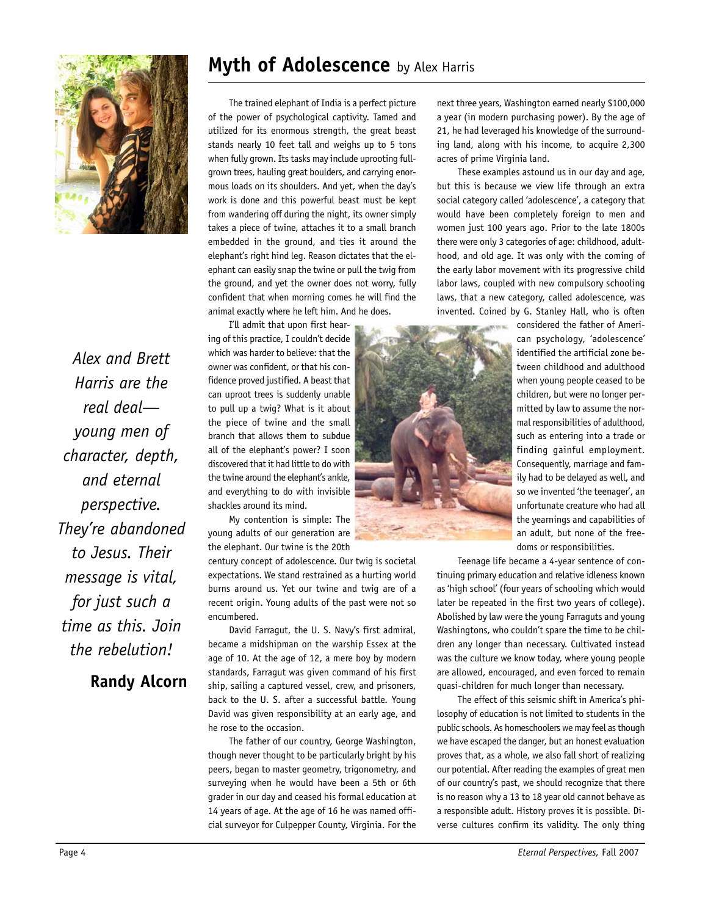

*Alex and Brett Harris are the real deal young men of character, depth, and eternal perspective. They're abandoned to Jesus. Their message is vital, for just such a time as this. Join the rebelution!*

**Randy Alcorn**

# **Myth of Adolescence** by Alex Harris

The trained elephant of India is a perfect picture of the power of psychological captivity. Tamed and utilized for its enormous strength, the great beast stands nearly 10 feet tall and weighs up to 5 tons when fully grown. Its tasks may include uprooting fullgrown trees, hauling great boulders, and carrying enormous loads on its shoulders. And yet, when the day's work is done and this powerful beast must be kept from wandering off during the night, its owner simply takes a piece of twine, attaches it to a small branch embedded in the ground, and ties it around the elephant's right hind leg. Reason dictates that the elephant can easily snap the twine or pull the twig from the ground, and yet the owner does not worry, fully confident that when morning comes he will find the animal exactly where he left him. And he does.

I'll admit that upon first hearing of this practice, I couldn't decide which was harder to believe: that the owner was confident, or that his confidence proved justified. A beast that can uproot trees is suddenly unable to pull up a twig? What is it about the piece of twine and the small branch that allows them to subdue all of the elephant's power? I soon discovered that it had little to do with the twine around the elephant's ankle, and everything to do with invisible shackles around its mind.

My contention is simple: The young adults of our generation are the elephant. Our twine is the 20th

century concept of adolescence. Our twig is societal expectations. We stand restrained as a hurting world burns around us. Yet our twine and twig are of a recent origin. Young adults of the past were not so encumbered.

David Farragut, the U. S. Navy's first admiral, became a midshipman on the warship Essex at the age of 10. At the age of 12, a mere boy by modern standards, Farragut was given command of his first ship, sailing a captured vessel, crew, and prisoners, back to the U. S. after a successful battle. Young David was given responsibility at an early age, and he rose to the occasion.

The father of our country, George Washington, though never thought to be particularly bright by his peers, began to master geometry, trigonometry, and surveying when he would have been a 5th or 6th grader in our day and ceased his formal education at 14 years of age. At the age of 16 he was named official surveyor for Culpepper County, Virginia. For the next three years, Washington earned nearly \$100,000 a year (in modern purchasing power). By the age of 21, he had leveraged his knowledge of the surrounding land, along with his income, to acquire 2,300 acres of prime Virginia land.

These examples astound us in our day and age, but this is because we view life through an extra social category called 'adolescence', a category that would have been completely foreign to men and women just 100 years ago. Prior to the late 1800s there were only 3 categories of age: childhood, adulthood, and old age. It was only with the coming of the early labor movement with its progressive child labor laws, coupled with new compulsory schooling laws, that a new category, called adolescence, was invented. Coined by G. Stanley Hall, who is often



considered the father of American psychology, 'adolescence' identified the artificial zone between childhood and adulthood when young people ceased to be children, but were no longer permitted by law to assume the normal responsibilities of adulthood, such as entering into a trade or finding gainful employment. Consequently, marriage and family had to be delayed as well, and so we invented 'the teenager', an unfortunate creature who had all the yearnings and capabilities of an adult, but none of the freedoms or responsibilities.

Teenage life became a 4-year sentence of continuing primary education and relative idleness known as 'high school' (four years of schooling which would later be repeated in the first two years of college). Abolished by law were the young Farraguts and young Washingtons, who couldn't spare the time to be children any longer than necessary. Cultivated instead was the culture we know today, where young people are allowed, encouraged, and even forced to remain quasi-children for much longer than necessary.

The effect of this seismic shift in America's philosophy of education is not limited to students in the public schools. As homeschoolers we may feel as though we have escaped the danger, but an honest evaluation proves that, as a whole, we also fall short of realizing our potential. After reading the examples of great men of our country's past, we should recognize that there is no reason why a 13 to 18 year old cannot behave as a responsible adult. History proves it is possible. Diverse cultures confirm its validity. The only thing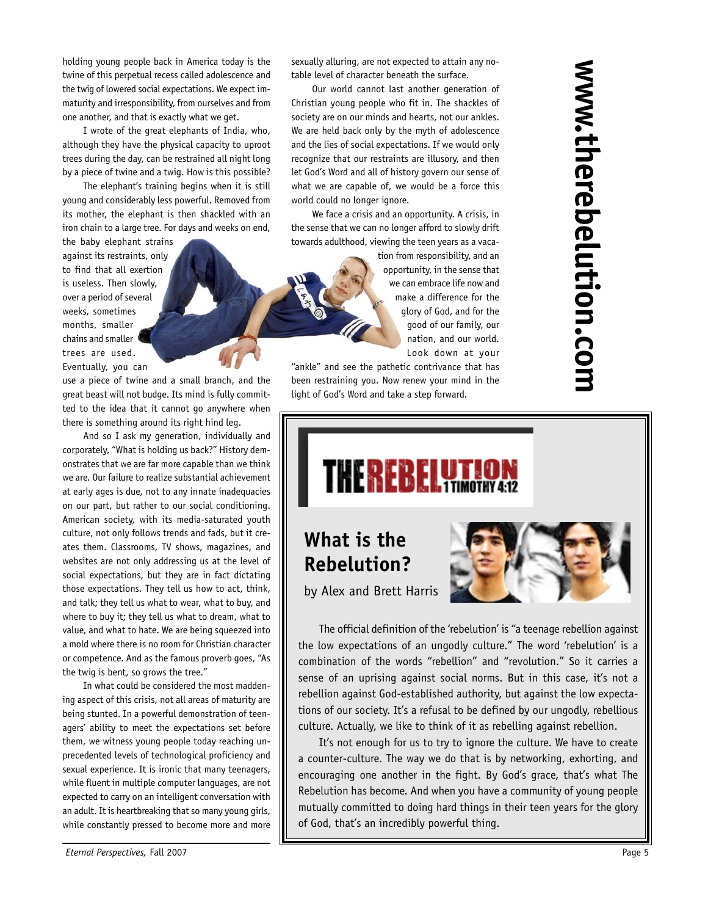holding young people back in America today is the twine of this perpetual recess called adolescence and the twig of lowered social expectations. We expect immaturity and irresponsibility, from ourselves and from one another, and that is exactly what we get.

I wrote of the great elephants of India, who, although they have the physical capacity to uproot trees during the day, can be restrained all night long by a piece of twine and a twig. How is this possible?

The elephant's training begins when it is still young and considerably less powerful. Removed from its mother, the elephant is then shackled with an iron chain to a large tree. For days and weeks on end,

the baby elephant strains against its restraints, only to find that all exertion is useless. Then slowly, over a period of several weeks, sometimes months, smaller chains and smaller trees are used. Eventually, you can

use a piece of twine and a small branch, and the great beast will not budge. Its mind is fully committed to the idea that it cannot go anywhere when there is something around its right hind leg.

And so I ask my generation, individually and corporately, "What is holding us back?" History demonstrates that we are far more capable than we think we are. Our failure to realize substantial achievement at early ages is due, not to any innate inadequacies on our part, but rather to our social conditioning. American society, with its media-saturated youth culture, not only follows trends and fads, but it creates them. Classrooms, TV shows, magazines, and websites are not only addressing us at the level of social expectations, but they are in fact dictating those expectations. They tell us how to act, think, and talk; they tell us what to wear, what to buy, and where to buy it; they tell us what to dream, what to value, and what to hate. We are being squeezed into a mold where there is no room for Christian character or competence. And as the famous proverb goes, "As the twig is bent, so grows the tree."

In what could be considered the most maddening aspect of this crisis, not all areas of maturity are being stunted. In a powerful demonstration of teenagers' ability to meet the expectations set before them, we witness young people today reaching unprecedented levels of technological proficiency and sexual experience. It is ironic that many teenagers, while fluent in multiple computer languages, are not expected to carry on an intelligent conversation with an adult. It is heartbreaking that so many young girls, while constantly pressed to become more and more sexually alluring, are not expected to attain any notable level of character beneath the surface.

Our world cannot last another generation of Christian young people who fit in. The shackles of society are on our minds and hearts, not our ankles. We are held back only by the myth of adolescence and the lies of social expectations. If we would only recognize that our restraints are illusory, and then let God's Word and all of history govern our sense of what we are capable of, we would be a force this world could no longer ignore.

We face a crisis and an opportunity. A crisis, in the sense that we can no longer afford to slowly drift towards adulthood, viewing the teen years as a vaca-

> tion from responsibility, and an opportunity, in the sense that we can embrace life now and make a difference for the glory of God, and for the good of our family, our nation, and our world. Look down at your

"ankle" and see the pathetic contrivance that has been restraining you. Now renew your mind in the light of God's Word and take a step forward.

# **www.therebelution.com**ww.therebelution.co

# THERE'SE

# **What is the Rebelution?**



by Alex and Brett Harris

The official definition of the 'rebelution' is "a teenage rebellion against the low expectations of an ungodly culture." The word 'rebelution' is a combination of the words "rebellion" and "revolution." So it carries a sense of an uprising against social norms. But in this case, it's not a rebellion against God-established authority, but against the low expectations of our society. It's a refusal to be defined by our ungodly, rebellious culture. Actually, we like to think of it as rebelling against rebellion.

It's not enough for us to try to ignore the culture. We have to create a counter-culture. The way we do that is by networking, exhorting, and encouraging one another in the fight. By God's grace, that's what The Rebelution has become. And when you have a community of young people mutually committed to doing hard things in their teen years for the glory of God, that's an incredibly powerful thing.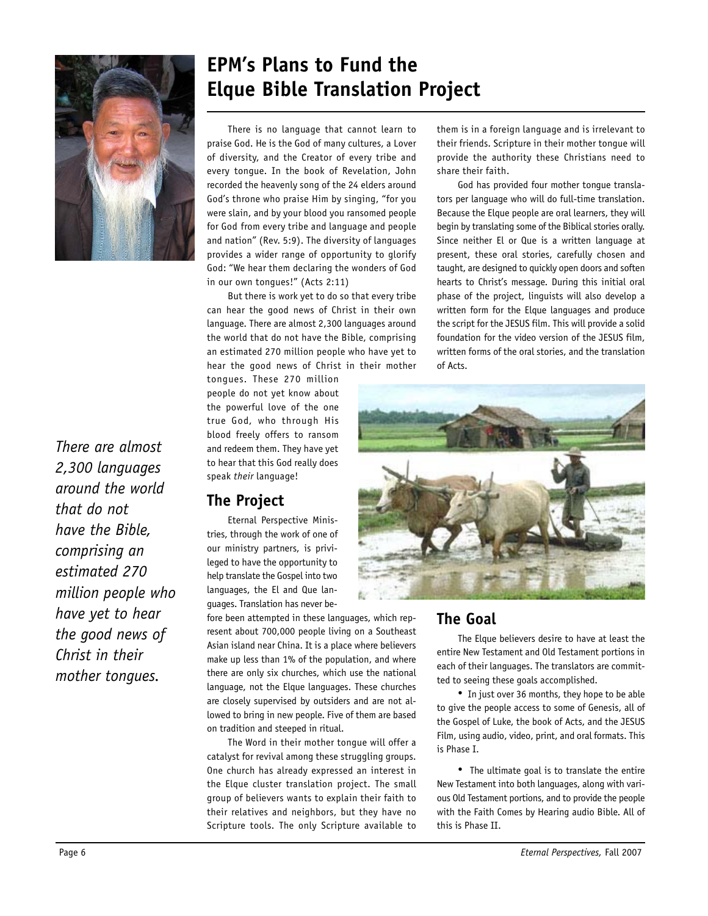

*There are almost 2,300 languages around the world that do not have the Bible, comprising an estimated 270 million people who have yet to hear the good news of Christ in their mother tongues.*

# **EPM's Plans to Fund the Elque Bible Translation Project**

There is no language that cannot learn to praise God. He is the God of many cultures, a Lover of diversity, and the Creator of every tribe and every tongue. In the book of Revelation, John recorded the heavenly song of the 24 elders around God's throne who praise Him by singing, "for you were slain, and by your blood you ransomed people for God from every tribe and language and people and nation" (Rev. 5:9). The diversity of languages provides a wider range of opportunity to glorify God: "We hear them declaring the wonders of God in our own tongues!" (Acts 2:11)

But there is work yet to do so that every tribe can hear the good news of Christ in their own language. There are almost 2,300 languages around the world that do not have the Bible, comprising an estimated 270 million people who have yet to hear the good news of Christ in their mother

tongues. These 270 million people do not yet know about the powerful love of the one true God, who through His blood freely offers to ransom and redeem them. They have yet to hear that this God really does speak *their* language!

# **The Project**

Eternal Perspective Ministries, through the work of one of our ministry partners, is privileged to have the opportunity to help translate the Gospel into two languages, the El and Que languages. Translation has never be-

fore been attempted in these languages, which represent about 700,000 people living on a Southeast Asian island near China. It is a place where believers make up less than 1% of the population, and where there are only six churches, which use the national language, not the Elque languages. These churches are closely supervised by outsiders and are not allowed to bring in new people. Five of them are based on tradition and steeped in ritual.

The Word in their mother tongue will offer a catalyst for revival among these struggling groups. One church has already expressed an interest in the Elque cluster translation project. The small group of believers wants to explain their faith to their relatives and neighbors, but they have no Scripture tools. The only Scripture available to them is in a foreign language and is irrelevant to their friends. Scripture in their mother tongue will provide the authority these Christians need to share their faith.

God has provided four mother tongue translators per language who will do full-time translation. Because the Elque people are oral learners, they will begin by translating some of the Biblical stories orally. Since neither El or Que is a written language at present, these oral stories, carefully chosen and taught, are designed to quickly open doors and soften hearts to Christ's message. During this initial oral phase of the project, linguists will also develop a written form for the Elque languages and produce the script for the JESUS film. This will provide a solid foundation for the video version of the JESUS film, written forms of the oral stories, and the translation of Acts.



#### **The Goal**

The Elque believers desire to have at least the entire New Testament and Old Testament portions in each of their languages. The translators are committed to seeing these goals accomplished.

• In just over 36 months, they hope to be able to give the people access to some of Genesis, all of the Gospel of Luke, the book of Acts, and the JESUS Film, using audio, video, print, and oral formats. This is Phase I.

• The ultimate goal is to translate the entire New Testament into both languages, along with various Old Testament portions, and to provide the people with the Faith Comes by Hearing audio Bible. All of this is Phase II.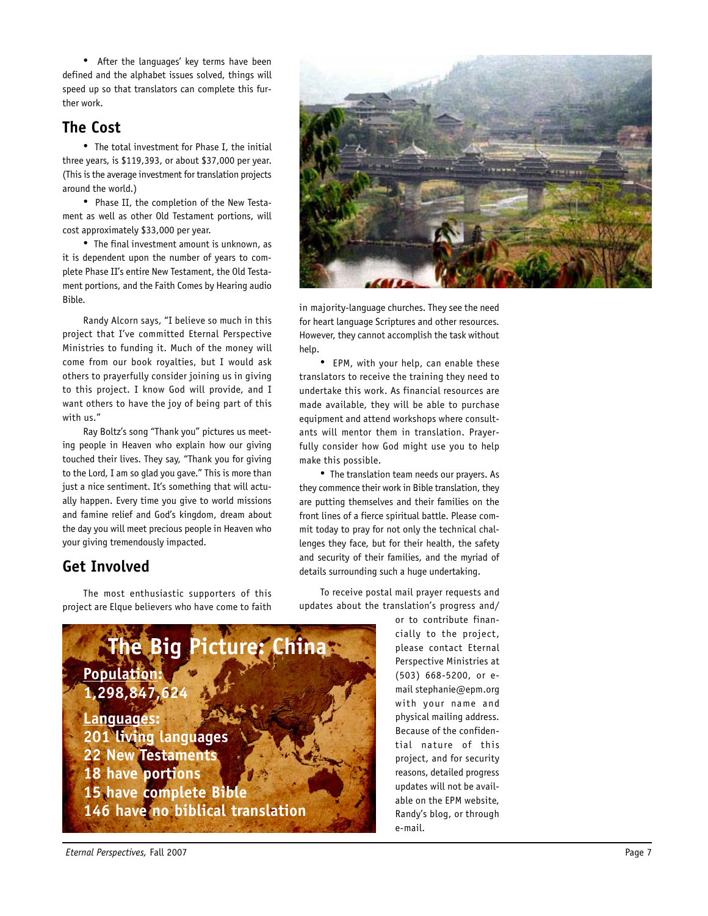• After the languages' key terms have been defined and the alphabet issues solved, things will speed up so that translators can complete this further work.

#### **The Cost**

• The total investment for Phase I, the initial three years, is \$119,393, or about \$37,000 per year. (This is the average investment for translation projects around the world.)

• Phase II, the completion of the New Testament as well as other Old Testament portions, will cost approximately \$33,000 per year.

• The final investment amount is unknown, as it is dependent upon the number of years to complete Phase II's entire New Testament, the Old Testament portions, and the Faith Comes by Hearing audio Bible.

Randy Alcorn says, "I believe so much in this project that I've committed Eternal Perspective Ministries to funding it. Much of the money will come from our book royalties, but I would ask others to prayerfully consider joining us in giving to this project. I know God will provide, and I want others to have the joy of being part of this with us."

Ray Boltz's song "Thank you" pictures us meeting people in Heaven who explain how our giving touched their lives. They say, "Thank you for giving to the Lord, I am so glad you gave." This is more than just a nice sentiment. It's something that will actually happen. Every time you give to world missions and famine relief and God's kingdom, dream about the day you will meet precious people in Heaven who your giving tremendously impacted.

## **Get Involved**

The most enthusiastic supporters of this project are Elque believers who have come to faith



in majority-language churches. They see the need for heart language Scriptures and other resources. However, they cannot accomplish the task without help.

• EPM, with your help, can enable these translators to receive the training they need to undertake this work. As financial resources are made available, they will be able to purchase equipment and attend workshops where consultants will mentor them in translation. Prayerfully consider how God might use you to help make this possible.

• The translation team needs our prayers. As they commence their work in Bible translation, they are putting themselves and their families on the front lines of a fierce spiritual battle. Please commit today to pray for not only the technical challenges they face, but for their health, the safety and security of their families, and the myriad of details surrounding such a huge undertaking.

To receive postal mail prayer requests and updates about the translation's progress and/



or to contribute financially to the project, please contact Eternal Perspective Ministries at (503) 668-5200, or email stephanie@epm.org with your name and physical mailing address. Because of the confidential nature of this project, and for security reasons, detailed progress updates will not be available on the EPM website, Randy's blog, or through e-mail.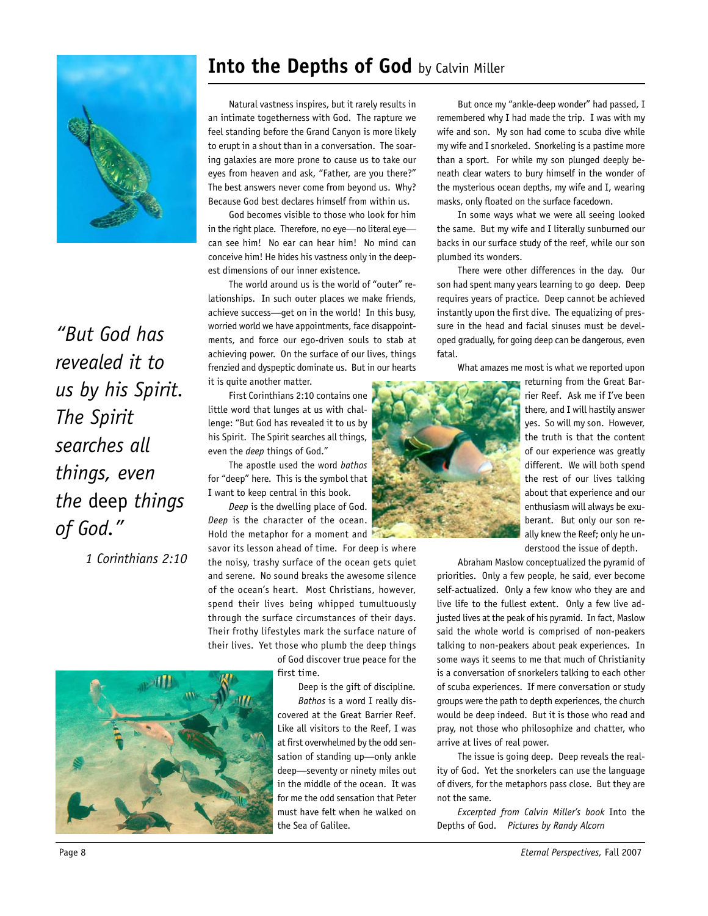

*"But God has revealed it to us by his Spirit. The Spirit searches all things, even the* deep *things of God."*

*1 Corinthians 2:10*

# **Into the Depths of God** by Calvin Miller

Natural vastness inspires, but it rarely results in an intimate togetherness with God. The rapture we feel standing before the Grand Canyon is more likely to erupt in a shout than in a conversation. The soaring galaxies are more prone to cause us to take our eyes from heaven and ask, "Father, are you there?" The best answers never come from beyond us. Why? Because God best declares himself from within us.

God becomes visible to those who look for him in the right place. Therefore, no eye—no literal eye can see him! No ear can hear him! No mind can conceive him! He hides his vastness only in the deepest dimensions of our inner existence.

The world around us is the world of "outer" relationships. In such outer places we make friends, achieve success—get on in the world! In this busy, worried world we have appointments, face disappointments, and force our ego-driven souls to stab at achieving power. On the surface of our lives, things frenzied and dyspeptic dominate us. But in our hearts it is quite another matter.

First Corinthians 2:10 contains one little word that lunges at us with challenge: "But God has revealed it to us by his Spirit. The Spirit searches all things, even the *deep* things of God."

The apostle used the word *bathos* for "deep" here. This is the symbol that I want to keep central in this book.

*Deep* is the dwelling place of God. *Deep* is the character of the ocean. Hold the metaphor for a moment and

savor its lesson ahead of time. For deep is where the noisy, trashy surface of the ocean gets quiet and serene. No sound breaks the awesome silence of the ocean's heart. Most Christians, however, spend their lives being whipped tumultuously through the surface circumstances of their days. Their frothy lifestyles mark the surface nature of their lives. Yet those who plumb the deep things

> of God discover true peace for the first time.

Deep is the gift of discipline. *Bathos* is a word I really discovered at the Great Barrier Reef. Like all visitors to the Reef, I was at first overwhelmed by the odd sensation of standing up—only ankle deep—seventy or ninety miles out in the middle of the ocean. It was for me the odd sensation that Peter must have felt when he walked on the Sea of Galilee.

But once my "ankle-deep wonder" had passed, I remembered why I had made the trip. I was with my wife and son. My son had come to scuba dive while my wife and I snorkeled. Snorkeling is a pastime more than a sport. For while my son plunged deeply beneath clear waters to bury himself in the wonder of the mysterious ocean depths, my wife and I, wearing masks, only floated on the surface facedown.

In some ways what we were all seeing looked the same. But my wife and I literally sunburned our backs in our surface study of the reef, while our son plumbed its wonders.

There were other differences in the day. Our son had spent many years learning to go deep. Deep requires years of practice. Deep cannot be achieved instantly upon the first dive. The equalizing of pressure in the head and facial sinuses must be developed gradually, for going deep can be dangerous, even fatal.

What amazes me most is what we reported upon



returning from the Great Barrier Reef. Ask me if I've been there, and I will hastily answer yes. So will my son. However, the truth is that the content of our experience was greatly different. We will both spend the rest of our lives talking about that experience and our enthusiasm will always be exuberant. But only our son really knew the Reef; only he understood the issue of depth.

Abraham Maslow conceptualized the pyramid of priorities. Only a few people, he said, ever become self-actualized. Only a few know who they are and live life to the fullest extent. Only a few live adjusted lives at the peak of his pyramid. In fact, Maslow said the whole world is comprised of non-peakers talking to non-peakers about peak experiences. In some ways it seems to me that much of Christianity is a conversation of snorkelers talking to each other of scuba experiences. If mere conversation or study groups were the path to depth experiences, the church would be deep indeed. But it is those who read and pray, not those who philosophize and chatter, who arrive at lives of real power.

The issue is going deep. Deep reveals the reality of God. Yet the snorkelers can use the language of divers, for the metaphors pass close. But they are not the same.

*Excerpted from Calvin Miller's book* Into the Depths of God. *Pictures by Randy Alcorn*

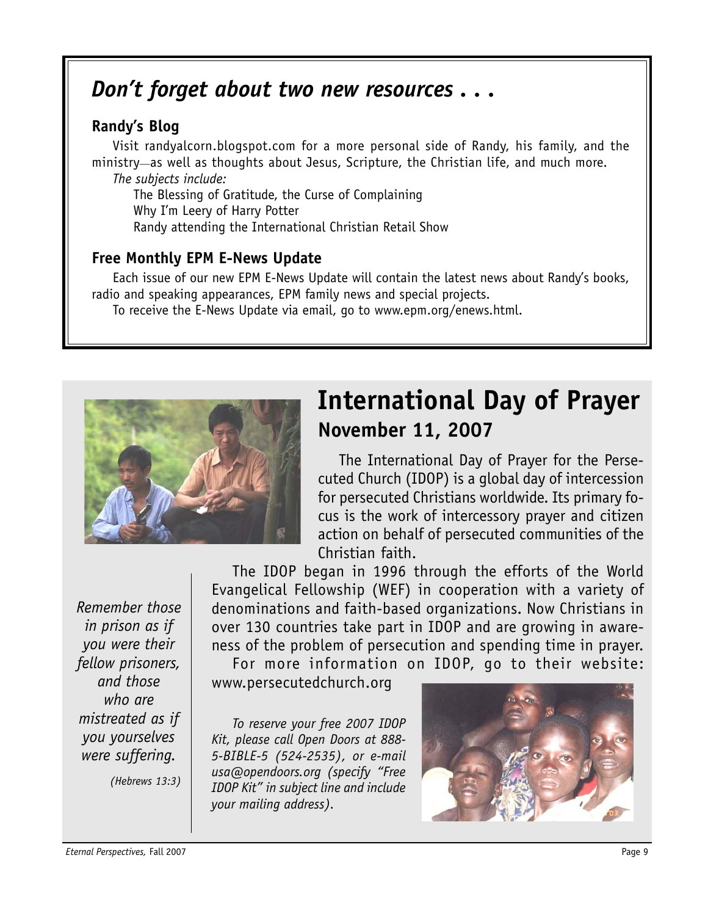# *Don't forget about two new resources . . .*

# **Randy's Blog**

Visit randyalcorn.blogspot.com for a more personal side of Randy, his family, and the ministry—as well as thoughts about Jesus, Scripture, the Christian life, and much more. *The subjects include:*

The Blessing of Gratitude, the Curse of Complaining Why I'm Leery of Harry Potter Randy attending the International Christian Retail Show

# **Free Monthly EPM E-News Update**

Each issue of our new EPM E-News Update will contain the latest news about Randy's books, radio and speaking appearances, EPM family news and special projects.

To receive the E-News Update via email, go to www.epm.org/enews.html.



# **International Day of Prayer November 11, 2007**

The International Day of Prayer for the Persecuted Church (IDOP) is a global day of intercession for persecuted Christians worldwide. Its primary focus is the work of intercessory prayer and citizen action on behalf of persecuted communities of the Christian faith.

*Remember those in prison as if you were their fellow prisoners, and those who are mistreated as if you yourselves were suffering.*

*(Hebrews 13:3)*

The IDOP began in 1996 through the efforts of the World Evangelical Fellowship (WEF) in cooperation with a variety of denominations and faith-based organizations. Now Christians in over 130 countries take part in IDOP and are growing in awareness of the problem of persecution and spending time in prayer. For more information on IDOP, go to their website:

www.persecutedchurch.org

*To reserve your free 2007 IDOP Kit, please call Open Doors at 888- 5-BIBLE-5 (524-2535), or e-mail usa@opendoors.org (specify "Free IDOP Kit" in subject line and include your mailing address).*

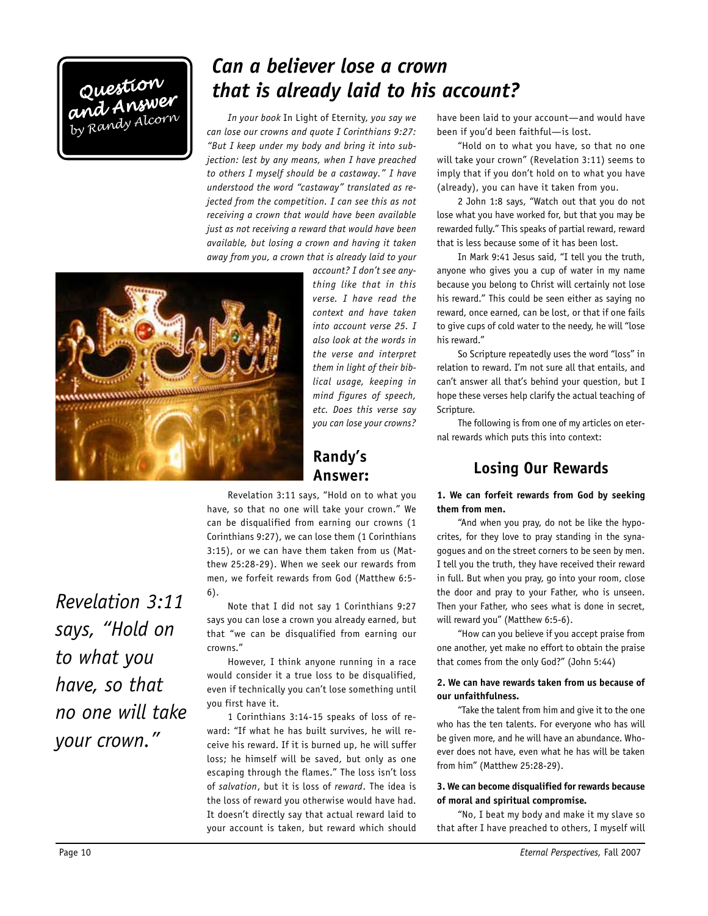# *by Randy Alcorn*

# *Can a believer lose a crown that is already laid to his account?*

*In your book* In Light of Eternity, *you say we can lose our crowns and quote I Corinthians 9:27: "But I keep under my body and bring it into subjection: lest by any means, when I have preached to others I myself should be a castaway." I have understood the word "castaway" translated as rejected from the competition. I can see this as not receiving a crown that would have been available just as not receiving a reward that would have been available, but losing a crown and having it taken away from you, a crown that is already laid to your*



*account? I don't see anything like that in this verse. I have read the context and have taken into account verse 25. I also look at the words in the verse and interpret them in light of their biblical usage, keeping in mind figures of speech, etc. Does this verse say you can lose your crowns?*

# **Randy's Answer:**

Revelation 3:11 says, "Hold on to what you have, so that no one will take your crown." We can be disqualified from earning our crowns (1 Corinthians 9:27), we can lose them (1 Corinthians 3:15), or we can have them taken from us (Matthew 25:28-29). When we seek our rewards from men, we forfeit rewards from God (Matthew 6:5- 6).

*Revelation 3:11 says, "Hold on to what you have, so that no one will take your crown."*

Note that I did not say 1 Corinthians 9:27 says you can lose a crown you already earned, but that "we can be disqualified from earning our crowns."

However, I think anyone running in a race would consider it a true loss to be disqualified, even if technically you can't lose something until you first have it.

1 Corinthians 3:14-15 speaks of loss of reward: "If what he has built survives, he will receive his reward. If it is burned up, he will suffer loss; he himself will be saved, but only as one escaping through the flames." The loss isn't loss of *salvation*, but it is loss of *reward*. The idea is the loss of reward you otherwise would have had. It doesn't directly say that actual reward laid to your account is taken, but reward which should

have been laid to your account—and would have been if you'd been faithful—is lost.

"Hold on to what you have, so that no one will take your crown" (Revelation 3:11) seems to imply that if you don't hold on to what you have (already), you can have it taken from you.

2 John 1:8 says, "Watch out that you do not lose what you have worked for, but that you may be rewarded fully." This speaks of partial reward, reward that is less because some of it has been lost.

In Mark 9:41 Jesus said, "I tell you the truth, anyone who gives you a cup of water in my name because you belong to Christ will certainly not lose his reward." This could be seen either as saying no reward, once earned, can be lost, or that if one fails to give cups of cold water to the needy, he will "lose his reward."

So Scripture repeatedly uses the word "loss" in relation to reward. I'm not sure all that entails, and can't answer all that's behind your question, but I hope these verses help clarify the actual teaching of Scripture.

The following is from one of my articles on eternal rewards which puts this into context:

# **Losing Our Rewards**

#### **1. We can forfeit rewards from God by seeking them from men.**

"And when you pray, do not be like the hypocrites, for they love to pray standing in the synagogues and on the street corners to be seen by men. I tell you the truth, they have received their reward in full. But when you pray, go into your room, close the door and pray to your Father, who is unseen. Then your Father, who sees what is done in secret, will reward you" (Matthew 6:5-6).

"How can you believe if you accept praise from one another, yet make no effort to obtain the praise that comes from the only God?" (John 5:44)

#### **2. We can have rewards taken from us because of our unfaithfulness.**

"Take the talent from him and give it to the one who has the ten talents. For everyone who has will be given more, and he will have an abundance. Whoever does not have, even what he has will be taken from him" (Matthew 25:28-29).

#### **3. We can become disqualified for rewards because of moral and spiritual compromise.**

"No, I beat my body and make it my slave so that after I have preached to others, I myself will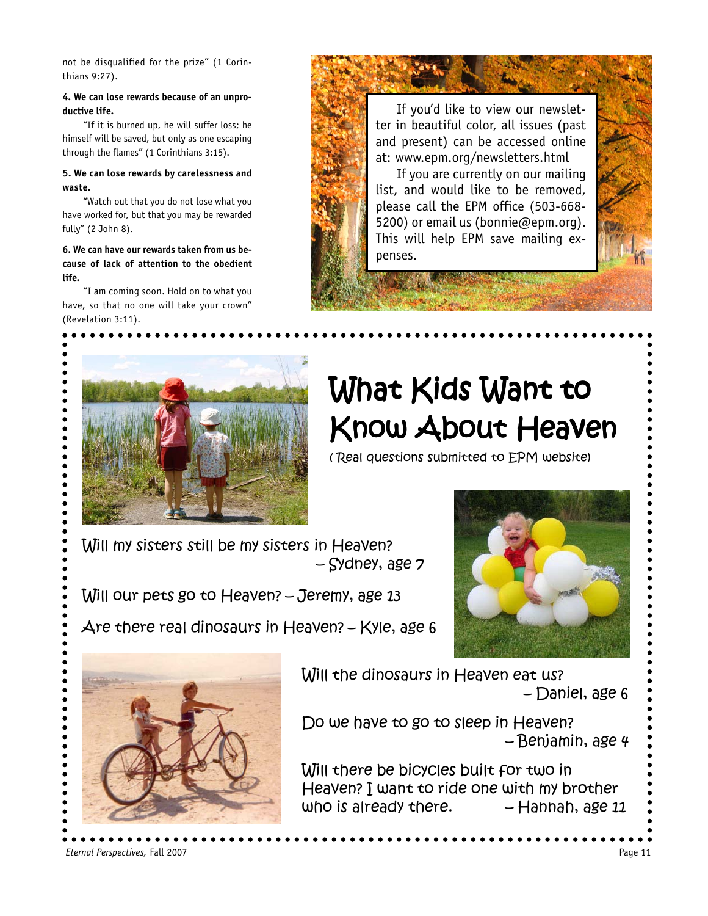not be disqualified for the prize" (1 Corinthians 9:27).

#### **4. We can lose rewards because of an unproductive life.**

"If it is burned up, he will suffer loss; he himself will be saved, but only as one escaping through the flames" (1 Corinthians 3:15).

#### **5. We can lose rewards by carelessness and waste.**

"Watch out that you do not lose what you have worked for, but that you may be rewarded fully" (2 John 8).

#### **6. We can have our rewards taken from us because of lack of attention to the obedient life.**

"I am coming soon. Hold on to what you have, so that no one will take your crown" (Revelation 3:11).

If you'd like to view our newsletter in beautiful color, all issues (past and present) can be accessed online at: www.epm.org/newsletters.html

If you are currently on our mailing list, and would like to be removed, please call the EPM office (503-668- 5200) or email us (bonnie@epm.org). This will help EPM save mailing expenses.



# What Kids Want to Know About Heaven

( Real questions submitted to EPM website)

Will my sisters still be my sisters in Heaven? – Sydney, age 7

Will our pets go to Heaven? - Jeremy, age 13

Are there real dinosaurs in Heaven? – Kyle, age 6





Will the dinosaurs in Heaven eat us? – Daniel, age 6

Do we have to go to sleep in Heaven? – Benjamin, age 4

Will there be bicycles built for two in Heaven? I want to ride one with my brother who is already there.  $-$  Hannah, age 11

*Eternal Perspectives,* Fall 2007 Page 11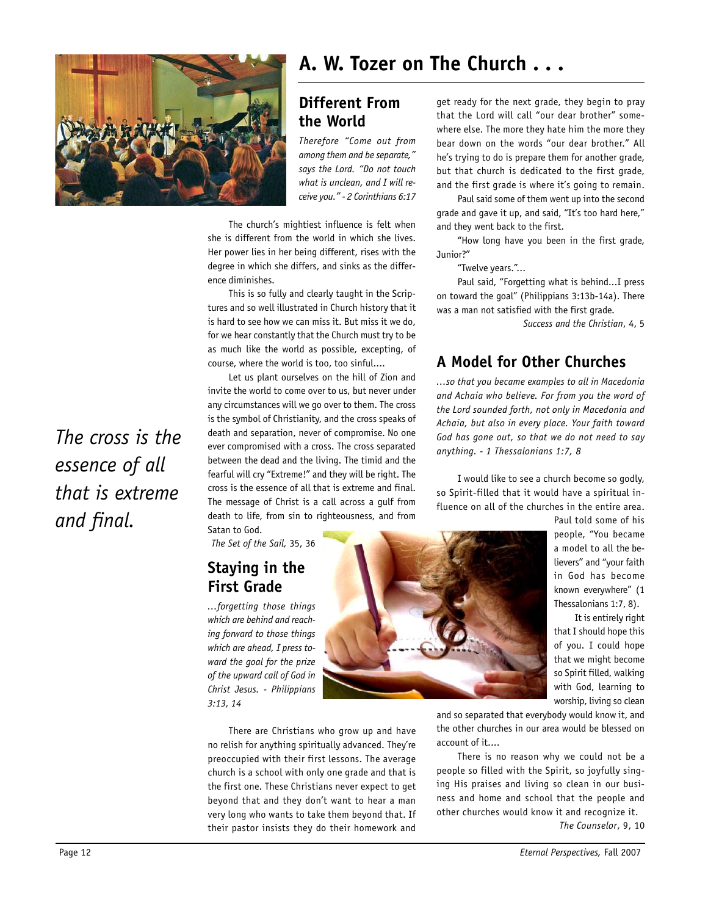

# **A. W. Tozer on The Church . . .**

#### **Different From the World**

*Therefore "Come out from among them and be separate," says the Lord. "Do not touch what is unclean, and I will receive you." - 2 Corinthians 6:17*

The church's mightiest influence is felt when she is different from the world in which she lives. Her power lies in her being different, rises with the degree in which she differs, and sinks as the difference diminishes.

This is so fully and clearly taught in the Scriptures and so well illustrated in Church history that it is hard to see how we can miss it. But miss it we do, for we hear constantly that the Church must try to be as much like the world as possible, excepting, of course, where the world is too, too sinful....

Let us plant ourselves on the hill of Zion and invite the world to come over to us, but never under any circumstances will we go over to them. The cross is the symbol of Christianity, and the cross speaks of death and separation, never of compromise. No one ever compromised with a cross. The cross separated between the dead and the living. The timid and the fearful will cry "Extreme!" and they will be right. The cross is the essence of all that is extreme and final. The message of Christ is a call across a gulf from death to life, from sin to righteousness, and from Satan to God.

*The Set of the Sail,* 35, 36

## **Staying in the First Grade**

*...forgetting those things which are behind and reaching forward to those things which are ahead, I press toward the goal for the prize of the upward call of God in Christ Jesus. - Philippians 3:13, 14*

There are Christians who grow up and have no relish for anything spiritually advanced. They're preoccupied with their first lessons. The average church is a school with only one grade and that is the first one. These Christians never expect to get beyond that and they don't want to hear a man very long who wants to take them beyond that. If their pastor insists they do their homework and

get ready for the next grade, they begin to pray that the Lord will call "our dear brother" somewhere else. The more they hate him the more they bear down on the words "our dear brother." All he's trying to do is prepare them for another grade, but that church is dedicated to the first grade, and the first grade is where it's going to remain.

Paul said some of them went up into the second grade and gave it up, and said, "It's too hard here," and they went back to the first.

"How long have you been in the first grade, Junior?"

"Twelve years."...

Paul said, "Forgetting what is behind...I press on toward the goal" (Philippians 3:13b-14a). There was a man not satisfied with the first grade.

*Success and the Christian*, 4, 5

## **A Model for Other Churches**

*...so that you became examples to all in Macedonia and Achaia who believe. For from you the word of the Lord sounded forth, not only in Macedonia and Achaia, but also in every place. Your faith toward God has gone out, so that we do not need to say anything. - 1 Thessalonians 1:7, 8*

I would like to see a church become so godly, so Spirit-filled that it would have a spiritual influence on all of the churches in the entire area.

> Paul told some of his people, "You became a model to all the believers" and "your faith in God has become known everywhere" (1 Thessalonians 1:7, 8).

> It is entirely right that I should hope this of you. I could hope that we might become so Spirit filled, walking with God, learning to worship, living so clean

and so separated that everybody would know it, and the other churches in our area would be blessed on account of it....

There is no reason why we could not be a people so filled with the Spirit, so joyfully singing His praises and living so clean in our business and home and school that the people and other churches would know it and recognize it.

*The Counselor*, 9, 10

# *The cross is the essence of all that is extreme and final.*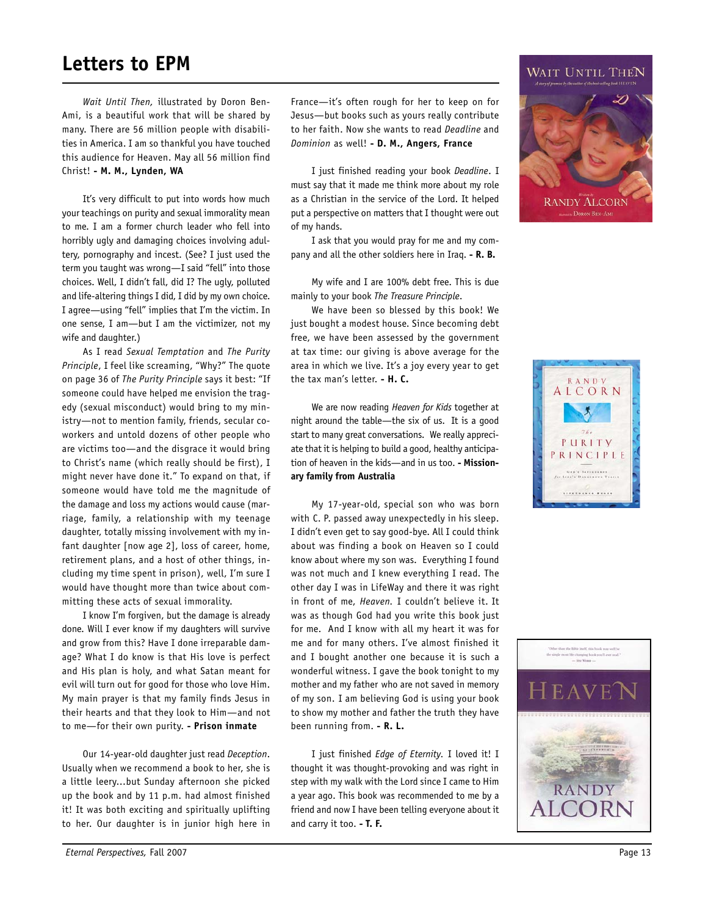# **Letters to EPM**

*Wait Until Then,* illustrated by Doron Ben-Ami, is a beautiful work that will be shared by many. There are 56 million people with disabilities in America. I am so thankful you have touched this audience for Heaven. May all 56 million find Christ! **- M. M., Lynden, WA**

It's very difficult to put into words how much your teachings on purity and sexual immorality mean to me. I am a former church leader who fell into horribly ugly and damaging choices involving adultery, pornography and incest. (See? I just used the term you taught was wrong—I said "fell" into those choices. Well, I didn't fall, did I? The ugly, polluted and life-altering things I did, I did by my own choice. I agree—using "fell" implies that I'm the victim. In one sense, I am—but I am the victimizer, not my wife and daughter.)

As I read *Sexual Temptation* and *The Purity Principle*, I feel like screaming, "Why?" The quote on page 36 of *The Purity Principle* says it best: "If someone could have helped me envision the tragedy (sexual misconduct) would bring to my ministry—not to mention family, friends, secular coworkers and untold dozens of other people who are victims too—and the disgrace it would bring to Christ's name (which really should be first), I might never have done it." To expand on that, if someone would have told me the magnitude of the damage and loss my actions would cause (marriage, family, a relationship with my teenage daughter, totally missing involvement with my infant daughter [now age 2], loss of career, home, retirement plans, and a host of other things, including my time spent in prison), well, I'm sure I would have thought more than twice about committing these acts of sexual immorality.

I know I'm forgiven, but the damage is already done. Will I ever know if my daughters will survive and grow from this? Have I done irreparable damage? What I do know is that His love is perfect and His plan is holy, and what Satan meant for evil will turn out for good for those who love Him. My main prayer is that my family finds Jesus in their hearts and that they look to Him—and not to me—for their own purity. **- Prison inmate**

Our 14-year-old daughter just read *Deception*. Usually when we recommend a book to her, she is a little leery...but Sunday afternoon she picked up the book and by 11 p.m. had almost finished it! It was both exciting and spiritually uplifting to her. Our daughter is in junior high here in France—it's often rough for her to keep on for Jesus—but books such as yours really contribute to her faith. Now she wants to read *Deadline* and *Dominion* as well! **- D. M., Angers, France**

I just finished reading your book *Deadline*. I must say that it made me think more about my role as a Christian in the service of the Lord. It helped put a perspective on matters that I thought were out of my hands.

I ask that you would pray for me and my company and all the other soldiers here in Iraq. **- R. B.**

My wife and I are 100% debt free. This is due mainly to your book *The Treasure Principle*.

We have been so blessed by this book! We just bought a modest house. Since becoming debt free, we have been assessed by the government at tax time: our giving is above average for the area in which we live. It's a joy every year to get the tax man's letter. **- H. C.**

We are now reading *Heaven for Kids* together at night around the table—the six of us. It is a good start to many great conversations. We really appreciate that it is helping to build a good, healthy anticipation of heaven in the kids—and in us too. **- Missionary family from Australia**

My 17-year-old, special son who was born with C. P. passed away unexpectedly in his sleep. I didn't even get to say good-bye. All I could think about was finding a book on Heaven so I could know about where my son was. Everything I found was not much and I knew everything I read. The other day I was in LifeWay and there it was right in front of me, *Heaven.* I couldn't believe it. It was as though God had you write this book just for me. And I know with all my heart it was for me and for many others. I've almost finished it and I bought another one because it is such a wonderful witness. I gave the book tonight to my mother and my father who are not saved in memory of my son. I am believing God is using your book to show my mother and father the truth they have been running from. **- R. L.**

I just finished *Edge of Eternity.* I loved it! I thought it was thought-provoking and was right in step with my walk with the Lord since I came to Him a year ago. This book was recommended to me by a friend and now I have been telling everyone about it and carry it too. **- T. F.**





**RANDY ALCORN** 



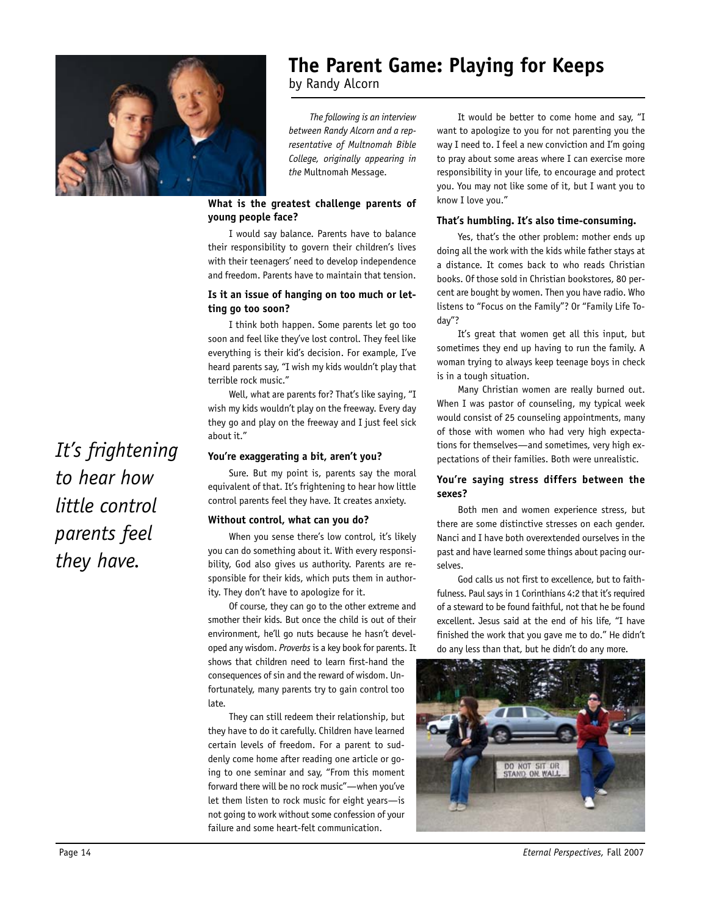

# **The Parent Game: Playing for Keeps**

by Randy Alcorn

*The following is an interview between Randy Alcorn and a representative of Multnomah Bible College, originally appearing in the* Multnomah Message.

#### **What is the greatest challenge parents of young people face?**

I would say balance. Parents have to balance their responsibility to govern their children's lives with their teenagers' need to develop independence and freedom. Parents have to maintain that tension.

#### **Is it an issue of hanging on too much or letting go too soon?**

I think both happen. Some parents let go too soon and feel like they've lost control. They feel like everything is their kid's decision. For example, I've heard parents say, "I wish my kids wouldn't play that terrible rock music."

Well, what are parents for? That's like saying, "I wish my kids wouldn't play on the freeway. Every day they go and play on the freeway and I just feel sick about it."

#### **You're exaggerating a bit, aren't you?**

Sure. But my point is, parents say the moral equivalent of that. It's frightening to hear how little control parents feel they have. It creates anxiety.

#### **Without control, what can you do?**

When you sense there's low control, it's likely you can do something about it. With every responsibility, God also gives us authority. Parents are responsible for their kids, which puts them in authority. They don't have to apologize for it.

Of course, they can go to the other extreme and smother their kids. But once the child is out of their environment, he'll go nuts because he hasn't developed any wisdom. *Proverbs* is a key book for parents. It shows that children need to learn first-hand the consequences of sin and the reward of wisdom. Unfortunately, many parents try to gain control too late.

They can still redeem their relationship, but they have to do it carefully. Children have learned certain levels of freedom. For a parent to suddenly come home after reading one article or going to one seminar and say, "From this moment forward there will be no rock music"—when you've let them listen to rock music for eight years—is not going to work without some confession of your failure and some heart-felt communication.

It would be better to come home and say, "I want to apologize to you for not parenting you the way I need to. I feel a new conviction and I'm going to pray about some areas where I can exercise more responsibility in your life, to encourage and protect you. You may not like some of it, but I want you to know I love you."

#### **That's humbling. It's also time-consuming.**

Yes, that's the other problem: mother ends up doing all the work with the kids while father stays at a distance. It comes back to who reads Christian books. Of those sold in Christian bookstores, 80 percent are bought by women. Then you have radio. Who listens to "Focus on the Family"? Or "Family Life Today"?

It's great that women get all this input, but sometimes they end up having to run the family. A woman trying to always keep teenage boys in check is in a tough situation.

Many Christian women are really burned out. When I was pastor of counseling, my typical week would consist of 25 counseling appointments, many of those with women who had very high expectations for themselves—and sometimes, very high expectations of their families. Both were unrealistic.

#### **You're saying stress differs between the sexes?**

Both men and women experience stress, but there are some distinctive stresses on each gender. Nanci and I have both overextended ourselves in the past and have learned some things about pacing ourselves.

God calls us not first to excellence, but to faithfulness. Paul says in 1 Corinthians 4:2 that it's required of a steward to be found faithful, not that he be found excellent. Jesus said at the end of his life, "I have finished the work that you gave me to do." He didn't do any less than that, but he didn't do any more.



*It's frightening to hear how little control parents feel they have.*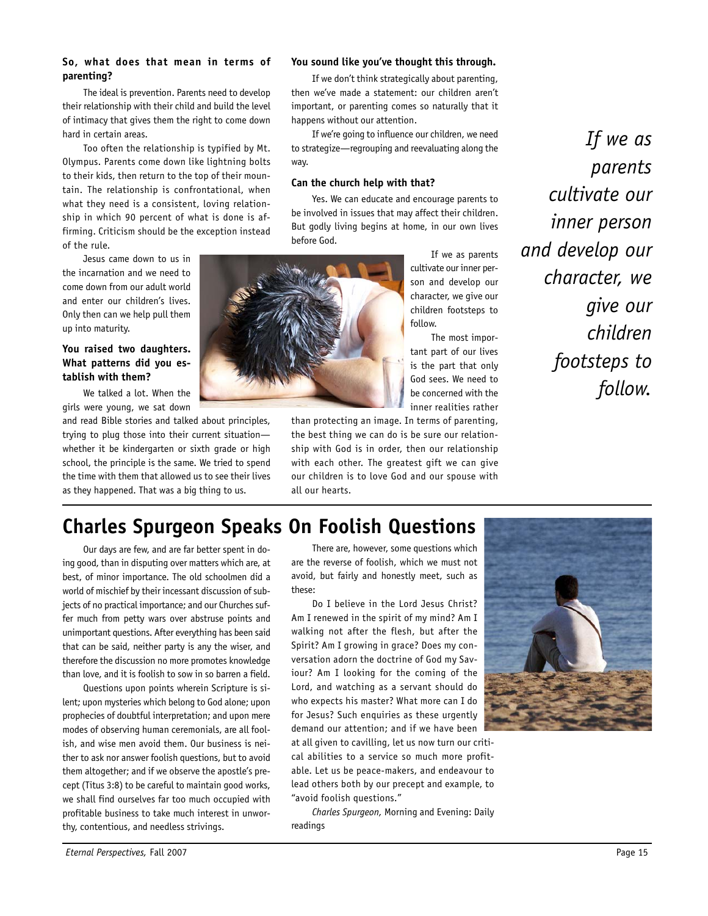#### **So, what does that mean in terms of parenting?**

The ideal is prevention. Parents need to develop their relationship with their child and build the level of intimacy that gives them the right to come down hard in certain areas.

Too often the relationship is typified by Mt. Olympus. Parents come down like lightning bolts to their kids, then return to the top of their mountain. The relationship is confrontational, when what they need is a consistent, loving relationship in which 90 percent of what is done is affirming. Criticism should be the exception instead of the rule.

Jesus came down to us in the incarnation and we need to come down from our adult world and enter our children's lives. Only then can we help pull them up into maturity.

#### **You raised two daughters. What patterns did you establish with them?**

We talked a lot. When the girls were young, we sat down

and read Bible stories and talked about principles, trying to plug those into their current situation whether it be kindergarten or sixth grade or high school, the principle is the same. We tried to spend the time with them that allowed us to see their lives as they happened. That was a big thing to us.

#### **You sound like you've thought this through.**

If we don't think strategically about parenting, then we've made a statement: our children aren't important, or parenting comes so naturally that it happens without our attention.

If we're going to influence our children, we need to strategize—regrouping and reevaluating along the way.

#### **Can the church help with that?**

Yes. We can educate and encourage parents to be involved in issues that may affect their children. But godly living begins at home, in our own lives before God.

If we as parents

The most impor-

cultivate our inner person and develop our character, we give our children footsteps to follow. tant part of our lives is the part that only God sees. We need to be concerned with the

> inner realities rather than protecting an image. In terms of parenting, the best thing we can do is be sure our relationship with God is in order, then our relationship with each other. The greatest gift we can give our children is to love God and our spouse with all our hearts.

*If we as parents cultivate our inner person and develop our character, we give our children footsteps to follow.*

# **Charles Spurgeon Speaks On Foolish Questions**

Our days are few, and are far better spent in doing good, than in disputing over matters which are, at best, of minor importance. The old schoolmen did a world of mischief by their incessant discussion of subjects of no practical importance; and our Churches suffer much from petty wars over abstruse points and unimportant questions. After everything has been said that can be said, neither party is any the wiser, and therefore the discussion no more promotes knowledge than love, and it is foolish to sow in so barren a field.

Questions upon points wherein Scripture is silent; upon mysteries which belong to God alone; upon prophecies of doubtful interpretation; and upon mere modes of observing human ceremonials, are all foolish, and wise men avoid them. Our business is neither to ask nor answer foolish questions, but to avoid them altogether; and if we observe the apostle's precept (Titus 3:8) to be careful to maintain good works, we shall find ourselves far too much occupied with profitable business to take much interest in unworthy, contentious, and needless strivings.

There are, however, some questions which are the reverse of foolish, which we must not avoid, but fairly and honestly meet, such as these:

Do I believe in the Lord Jesus Christ? Am I renewed in the spirit of my mind? Am I walking not after the flesh, but after the Spirit? Am I growing in grace? Does my conversation adorn the doctrine of God my Saviour? Am I looking for the coming of the Lord, and watching as a servant should do who expects his master? What more can I do for Jesus? Such enquiries as these urgently demand our attention; and if we have been

at all given to cavilling, let us now turn our critical abilities to a service so much more profitable. Let us be peace-makers, and endeavour to lead others both by our precept and example, to "avoid foolish questions."

*Charles Spurgeon,* Morning and Evening: Daily readings